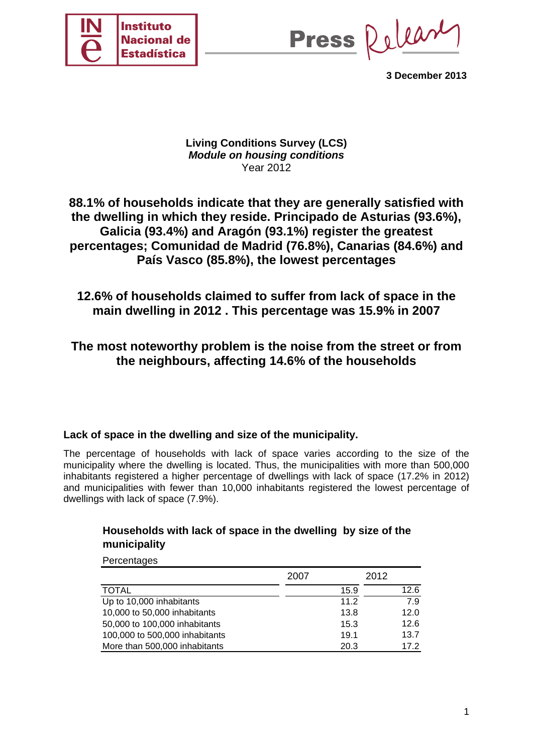

Press Release

**3 December 2013** 

## **Living Conditions Survey (LCS)**  *Module on housing conditions*  Year 2012

# **88.1% of households indicate that they are generally satisfied with the dwelling in which they reside. Principado de Asturias (93.6%), Galicia (93.4%) and Aragón (93.1%) register the greatest percentages; Comunidad de Madrid (76.8%), Canarias (84.6%) and País Vasco (85.8%), the lowest percentages**

# **12.6% of households claimed to suffer from lack of space in the main dwelling in 2012 . This percentage was 15.9% in 2007**

# **The most noteworthy problem is the noise from the street or from the neighbours, affecting 14.6% of the households**

## **Lack of space in the dwelling and size of the municipality.**

The percentage of households with lack of space varies according to the size of the municipality where the dwelling is located. Thus, the municipalities with more than 500,000 inhabitants registered a higher percentage of dwellings with lack of space (17.2% in 2012) and municipalities with fewer than 10,000 inhabitants registered the lowest percentage of dwellings with lack of space (7.9%).

## **Households with lack of space in the dwelling by size of the municipality**

**Percentages** 

|                                | 2007 | 2012 |
|--------------------------------|------|------|
| <b>TOTAL</b>                   | 15.9 | 12.6 |
| Up to 10,000 inhabitants       | 11.2 | 7.9  |
| 10,000 to 50,000 inhabitants   | 13.8 | 12.0 |
| 50,000 to 100,000 inhabitants  | 15.3 | 12.6 |
| 100,000 to 500,000 inhabitants | 19.1 | 13.7 |
| More than 500,000 inhabitants  | 20.3 | 17.2 |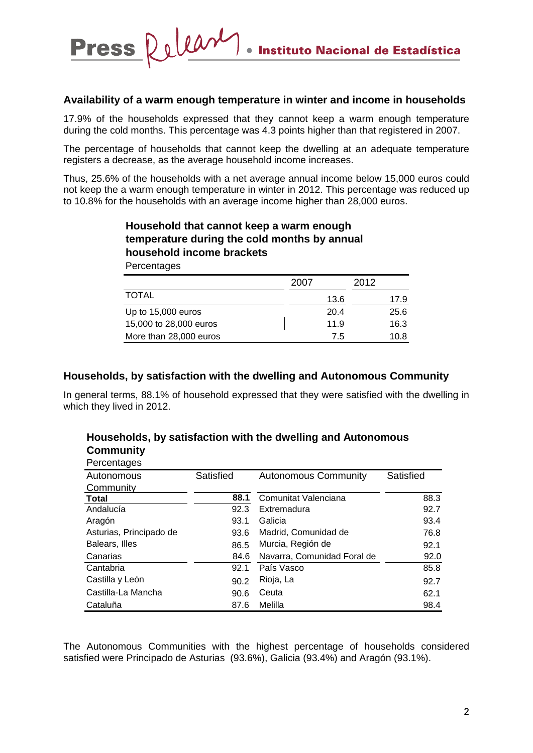#### **Availability of a warm enough temperature in winter and income in households**

Press Releary

17.9% of the households expressed that they cannot keep a warm enough temperature during the cold months. This percentage was 4.3 points higher than that registered in 2007.

The percentage of households that cannot keep the dwelling at an adequate temperature registers a decrease, as the average household income increases.

Thus, 25.6% of the households with a net average annual income below 15,000 euros could not keep the a warm enough temperature in winter in 2012. This percentage was reduced up to 10.8% for the households with an average income higher than 28,000 euros.

## **Percentages Household that cannot keep a warm enough temperature during the cold months by annual household income brackets**

|                        | 2007 | 2012 |
|------------------------|------|------|
| <b>TOTAL</b>           | 13.6 | 17.9 |
| Up to 15,000 euros     | 20.4 | 25.6 |
| 15,000 to 28,000 euros | 11.9 | 16.3 |
| More than 28,000 euros | 7.5  | 10.8 |

### **Households, by satisfaction with the dwelling and Autonomous Community**

In general terms, 88.1% of household expressed that they were satisfied with the dwelling in which they lived in 2012.

| <b>VVIIIIIIIIIII</b>    |           |                             |           |
|-------------------------|-----------|-----------------------------|-----------|
| Percentages             |           |                             |           |
| Autonomous              | Satisfied | <b>Autonomous Community</b> | Satisfied |
| Community               |           |                             |           |
| <b>Total</b>            | 88.1      | Comunitat Valenciana        | 88.3      |
| Andalucía               | 92.3      | Extremadura                 | 92.7      |
| Aragón                  | 93.1      | Galicia                     | 93.4      |
| Asturias, Principado de | 93.6      | Madrid, Comunidad de        | 76.8      |
| Balears, Illes          | 86.5      | Murcia, Región de           | 92.1      |
| Canarias                | 84.6      | Navarra, Comunidad Foral de | 92.0      |
| Cantabria               | 92.1      | País Vasco                  | 85.8      |
| Castilla y León         | 90.2      | Rioja, La                   | 92.7      |
| Castilla-La Mancha      | 90.6      | Ceuta                       | 62.1      |
| Cataluña                | 87.6      | Melilla                     | 98.4      |

#### **Households, by satisfaction with the dwelling and Autonomous Community**

The Autonomous Communities with the highest percentage of households considered satisfied were Principado de Asturias (93.6%), Galicia (93.4%) and Aragón (93.1%).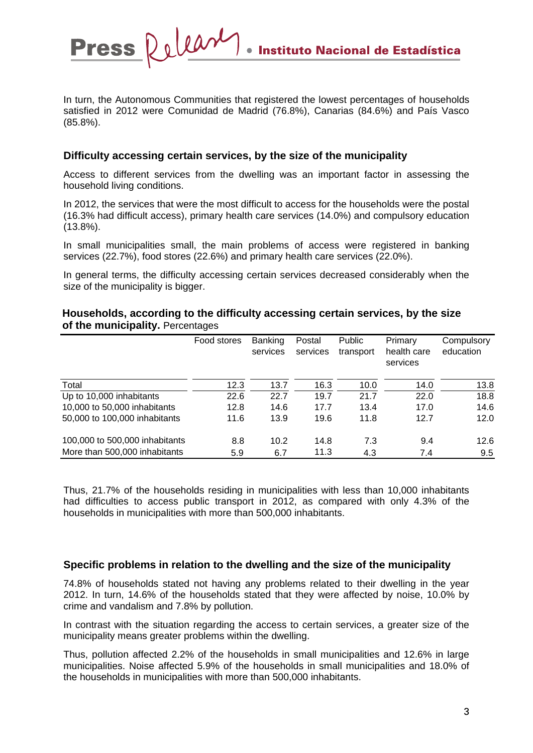Press Relear **Instituto Nacional de Estadística** 

In turn, the Autonomous Communities that registered the lowest percentages of households satisfied in 2012 were Comunidad de Madrid (76.8%), Canarias (84.6%) and País Vasco (85.8%).

### **Difficulty accessing certain services, by the size of the municipality**

Access to different services from the dwelling was an important factor in assessing the household living conditions.

In 2012, the services that were the most difficult to access for the households were the postal (16.3% had difficult access), primary health care services (14.0%) and compulsory education (13.8%).

In small municipalities small, the main problems of access were registered in banking services (22.7%), food stores (22.6%) and primary health care services (22.0%).

In general terms, the difficulty accessing certain services decreased considerably when the size of the municipality is bigger.

#### **Households, according to the difficulty accessing certain services, by the size of the municipality.** Percentages

|                                | Food stores | <b>Banking</b> | Postal   | Public    | Primary                 | Compulsory |
|--------------------------------|-------------|----------------|----------|-----------|-------------------------|------------|
|                                |             | services       | services | transport | health care<br>services | education  |
| Total                          | 12.3        | 13.7           | 16.3     | 10.0      | 14.0                    | 13.8       |
| Up to 10,000 inhabitants       | 22.6        | 22.7           | 19.7     | 21.7      | 22.0                    | 18.8       |
| 10,000 to 50,000 inhabitants   | 12.8        | 14.6           | 17.7     | 13.4      | 17.0                    | 14.6       |
| 50,000 to 100,000 inhabitants  | 11.6        | 13.9           | 19.6     | 11.8      | 12.7                    | 12.0       |
| 100,000 to 500,000 inhabitants | 8.8         | 10.2           | 14.8     | 7.3       | 9.4                     | 12.6       |
| More than 500,000 inhabitants  | 5.9         | 6.7            | 11.3     | 4.3       | 7.4                     | 9.5        |

Thus, 21.7% of the households residing in municipalities with less than 10,000 inhabitants had difficulties to access public transport in 2012, as compared with only 4.3% of the households in municipalities with more than 500,000 inhabitants.

### **Specific problems in relation to the dwelling and the size of the municipality**

74.8% of households stated not having any problems related to their dwelling in the year 2012. In turn, 14.6% of the households stated that they were affected by noise, 10.0% by crime and vandalism and 7.8% by pollution.

In contrast with the situation regarding the access to certain services, a greater size of the municipality means greater problems within the dwelling.

Thus, pollution affected 2.2% of the households in small municipalities and 12.6% in large municipalities. Noise affected 5.9% of the households in small municipalities and 18.0% of the households in municipalities with more than 500,000 inhabitants.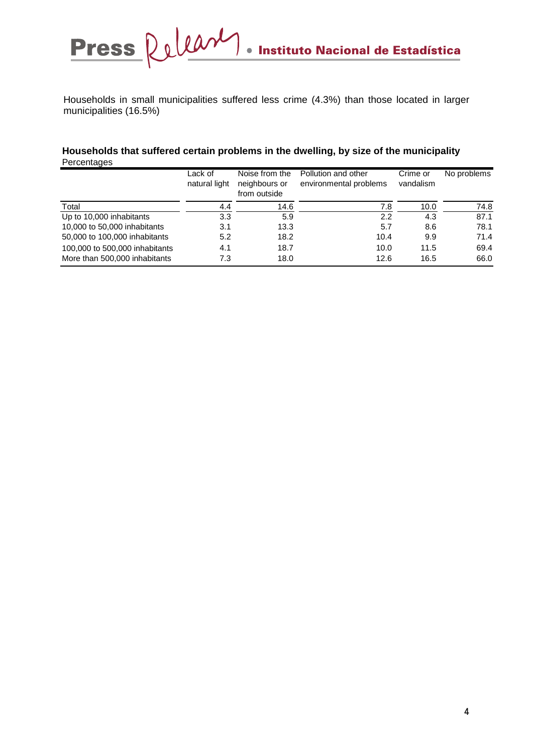Households in small municipalities suffered less crime (4.3%) than those located in larger municipalities (16.5%)

#### **Households that suffered certain problems in the dwelling, by size of the municipality Percentages**

|                                | Lack of<br>natural light | Noise from the<br>neighbours or<br>from outside | Pollution and other<br>environmental problems | Crime or<br>vandalism | No problems |
|--------------------------------|--------------------------|-------------------------------------------------|-----------------------------------------------|-----------------------|-------------|
| Total                          | 4.4                      | 14.6                                            | 7.8                                           | 10.0                  | 74.8        |
| Up to 10,000 inhabitants       | 3.3                      | 5.9                                             | 2.2                                           | 4.3                   | 87.1        |
| 10,000 to 50,000 inhabitants   | 3.1                      | 13.3                                            | 5.7                                           | 8.6                   | 78.1        |
| 50,000 to 100,000 inhabitants  | 5.2                      | 18.2                                            | 10.4                                          | 9.9                   | 71.4        |
| 100,000 to 500,000 inhabitants | 4.1                      | 18.7                                            | 10.0                                          | 11.5                  | 69.4        |
| More than 500,000 inhabitants  | 7.3                      | 18.0                                            | 12.6                                          | 16.5                  | 66.0        |